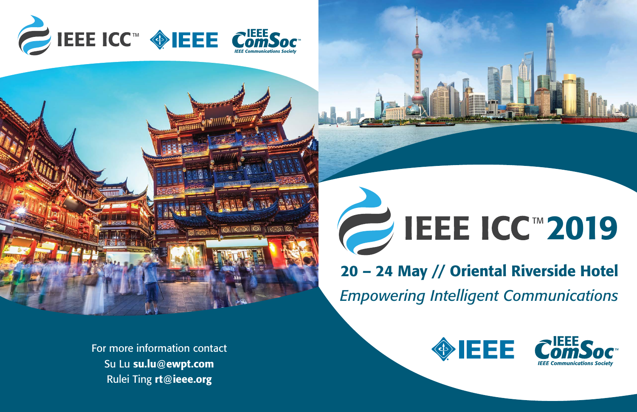# **20 – 24 May // Oriental Riverside Hotel** *Empowering Intelligent Communications*











For more information contact Su Lu **su.lu@ewpt.com** Rulei Ting **rt@ieee.org**

**2** IEEE ICC<sup>TM</sup> 2019